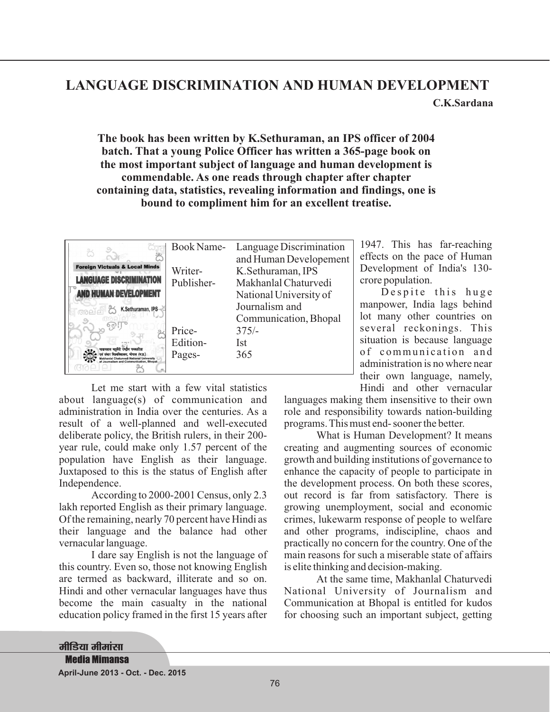## **LANGUAGE DISCRIMINATION AND HUMAN DEVELOPMENT C.K.Sardana**

## **The book has been written by K.Sethuraman, an IPS officer of 2004 batch. That a young Police Officer has written a 365-page book on the most important subject of language and human development is commendable. As one reads through chapter after chapter containing data, statistics, revealing information and findings, one is bound to compliment him for an excellent treatise.**

|                                                                              | Book Name- | Language Discrimination |
|------------------------------------------------------------------------------|------------|-------------------------|
|                                                                              |            | and Human Developement  |
| <b>Foreign Victuals &amp; Local Minds</b>                                    | Writer-    | K.Sethuraman, IPS       |
| <b>LANGUAGE DISCRIMINATION</b>                                               | Publisher- | Makhanlal Chaturvedi    |
| <b>AND HUMAN DEVELOPMENT</b>                                                 |            | National University of  |
| K.Sethuraman, IPS                                                            |            | Journalism and          |
|                                                                              |            | Communication, Bhopal   |
|                                                                              | Price-     | $375/-$                 |
|                                                                              | Edition-   | Ist                     |
| माखनलाल चतर्वेदी राष्ट्रीय पत्रकारिता<br>संचार विश्वविद्यालय, भोपाल (म.प्र.) | Pages-     | 365                     |
| ism and Communication, Bhopal                                                |            |                         |

Let me start with a few vital statistics about language(s) of communication and administration in India over the centuries. As a result of a well-planned and well-executed deliberate policy, the British rulers, in their 200 year rule, could make only 1.57 percent of the population have English as their language. Juxtaposed to this is the status of English after Independence.

According to 2000-2001 Census, only 2.3 lakh reported English as their primary language. Of the remaining, nearly 70 percent have Hindi as their language and the balance had other vernacular language.

I dare say English is not the language of this country. Even so, those not knowing English are termed as backward, illiterate and so on. Hindi and other vernacular languages have thus become the main casualty in the national education policy framed in the first 15 years after

1947. This has far-reaching effects on the pace of Human Development of India's 130 crore population.

Despite this huge manpower, India lags behind lot many other countries on several reckonings. This situation is because language of communication and administration is no where near their own language, namely, Hindi and other vernacular

languages making them insensitive to their own role and responsibility towards nation-building programs. This must end- sooner the better.

What is Human Development? It means creating and augmenting sources of economic growth and building institutions of governance to enhance the capacity of people to participate in the development process. On both these scores, out record is far from satisfactory. There is growing unemployment, social and economic crimes, lukewarm response of people to welfare and other programs, indiscipline, chaos and practically no concern for the country. One of the main reasons for such a miserable state of affairs is elite thinking and decision-making.

At the same time, Makhanlal Chaturvedi National University of Journalism and Communication at Bhopal is entitled for kudos for choosing such an important subject, getting